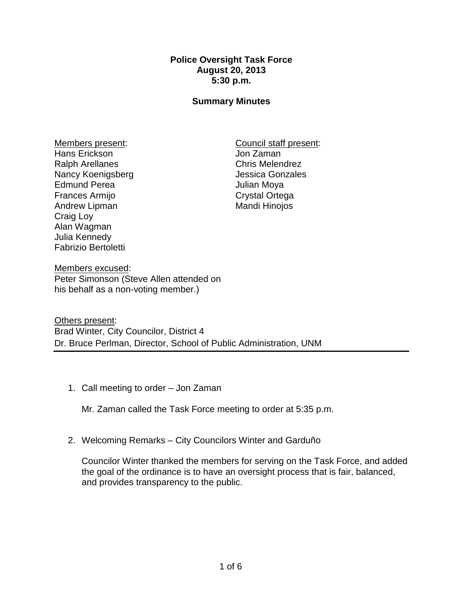## **Police Oversight Task Force August 20, 2013 5:30 p.m.**

## **Summary Minutes**

Members present: Hans Erickson Ralph Arellanes Nancy Koenigsberg Edmund Perea Frances Armijo Andrew Lipman Craig Loy Alan Wagman Julia Kennedy Fabrizio Bertoletti

Council staff present: Jon Zaman Chris Melendrez Jessica Gonzales Julian Moya Crystal Ortega Mandi Hinojos

Members excused: Peter Simonson (Steve Allen attended on his behalf as a non-voting member.)

Others present: Brad Winter, City Councilor, District 4 Dr. Bruce Perlman, Director, School of Public Administration, UNM

1. Call meeting to order – Jon Zaman

Mr. Zaman called the Task Force meeting to order at 5:35 p.m.

2. Welcoming Remarks – City Councilors Winter and Garduño

Councilor Winter thanked the members for serving on the Task Force, and added the goal of the ordinance is to have an oversight process that is fair, balanced, and provides transparency to the public.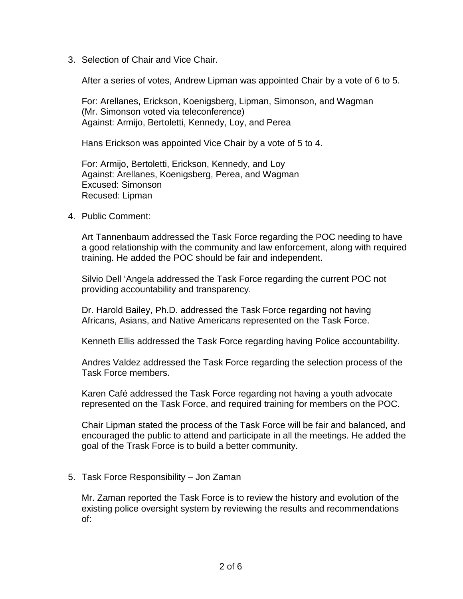3. Selection of Chair and Vice Chair.

After a series of votes, Andrew Lipman was appointed Chair by a vote of 6 to 5.

For: Arellanes, Erickson, Koenigsberg, Lipman, Simonson, and Wagman (Mr. Simonson voted via teleconference) Against: Armijo, Bertoletti, Kennedy, Loy, and Perea

Hans Erickson was appointed Vice Chair by a vote of 5 to 4.

For: Armijo, Bertoletti, Erickson, Kennedy, and Loy Against: Arellanes, Koenigsberg, Perea, and Wagman Excused: Simonson Recused: Lipman

4. Public Comment:

Art Tannenbaum addressed the Task Force regarding the POC needing to have a good relationship with the community and law enforcement, along with required training. He added the POC should be fair and independent.

Silvio Dell 'Angela addressed the Task Force regarding the current POC not providing accountability and transparency.

Dr. Harold Bailey, Ph.D. addressed the Task Force regarding not having Africans, Asians, and Native Americans represented on the Task Force.

Kenneth Ellis addressed the Task Force regarding having Police accountability.

Andres Valdez addressed the Task Force regarding the selection process of the Task Force members.

Karen Café addressed the Task Force regarding not having a youth advocate represented on the Task Force, and required training for members on the POC.

Chair Lipman stated the process of the Task Force will be fair and balanced, and encouraged the public to attend and participate in all the meetings. He added the goal of the Trask Force is to build a better community.

5. Task Force Responsibility – Jon Zaman

Mr. Zaman reported the Task Force is to review the history and evolution of the existing police oversight system by reviewing the results and recommendations of: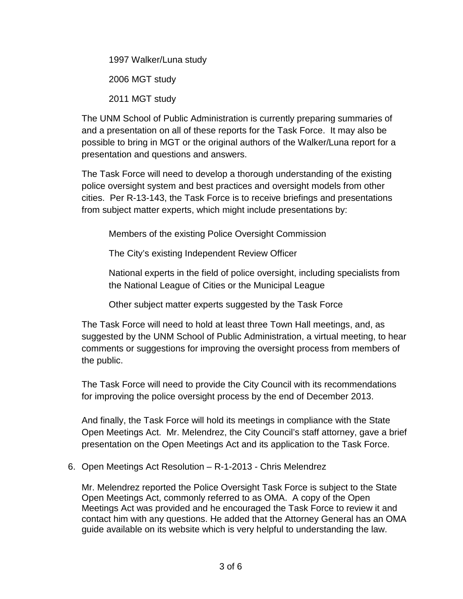1997 Walker/Luna study 2006 MGT study 2011 MGT study

The UNM School of Public Administration is currently preparing summaries of and a presentation on all of these reports for the Task Force. It may also be possible to bring in MGT or the original authors of the Walker/Luna report for a presentation and questions and answers.

The Task Force will need to develop a thorough understanding of the existing police oversight system and best practices and oversight models from other cities. Per R-13-143, the Task Force is to receive briefings and presentations from subject matter experts, which might include presentations by:

Members of the existing Police Oversight Commission

The City's existing Independent Review Officer

National experts in the field of police oversight, including specialists from the National League of Cities or the Municipal League

Other subject matter experts suggested by the Task Force

The Task Force will need to hold at least three Town Hall meetings, and, as suggested by the UNM School of Public Administration, a virtual meeting, to hear comments or suggestions for improving the oversight process from members of the public.

The Task Force will need to provide the City Council with its recommendations for improving the police oversight process by the end of December 2013.

And finally, the Task Force will hold its meetings in compliance with the State Open Meetings Act. Mr. Melendrez, the City Council's staff attorney, gave a brief presentation on the Open Meetings Act and its application to the Task Force.

## 6. Open Meetings Act Resolution – R-1-2013 - Chris Melendrez

Mr. Melendrez reported the Police Oversight Task Force is subject to the State Open Meetings Act, commonly referred to as OMA. A copy of the Open Meetings Act was provided and he encouraged the Task Force to review it and contact him with any questions. He added that the Attorney General has an OMA guide available on its website which is very helpful to understanding the law.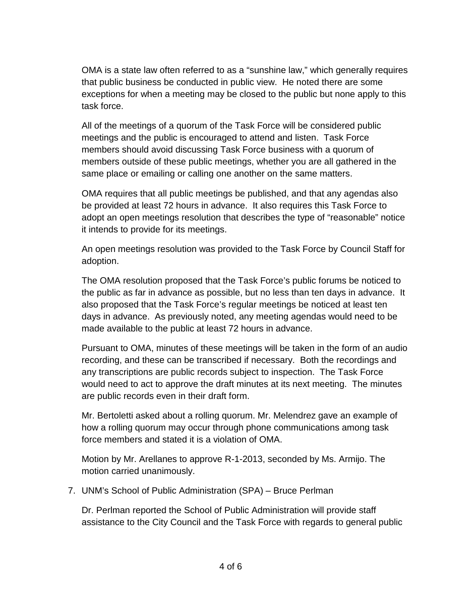OMA is a state law often referred to as a "sunshine law," which generally requires that public business be conducted in public view. He noted there are some exceptions for when a meeting may be closed to the public but none apply to this task force.

All of the meetings of a quorum of the Task Force will be considered public meetings and the public is encouraged to attend and listen. Task Force members should avoid discussing Task Force business with a quorum of members outside of these public meetings, whether you are all gathered in the same place or emailing or calling one another on the same matters.

OMA requires that all public meetings be published, and that any agendas also be provided at least 72 hours in advance. It also requires this Task Force to adopt an open meetings resolution that describes the type of "reasonable" notice it intends to provide for its meetings.

An open meetings resolution was provided to the Task Force by Council Staff for adoption.

The OMA resolution proposed that the Task Force's public forums be noticed to the public as far in advance as possible, but no less than ten days in advance. It also proposed that the Task Force's regular meetings be noticed at least ten days in advance. As previously noted, any meeting agendas would need to be made available to the public at least 72 hours in advance.

Pursuant to OMA, minutes of these meetings will be taken in the form of an audio recording, and these can be transcribed if necessary. Both the recordings and any transcriptions are public records subject to inspection. The Task Force would need to act to approve the draft minutes at its next meeting. The minutes are public records even in their draft form.

Mr. Bertoletti asked about a rolling quorum. Mr. Melendrez gave an example of how a rolling quorum may occur through phone communications among task force members and stated it is a violation of OMA.

Motion by Mr. Arellanes to approve R-1-2013, seconded by Ms. Armijo. The motion carried unanimously.

7. UNM's School of Public Administration (SPA) – Bruce Perlman

Dr. Perlman reported the School of Public Administration will provide staff assistance to the City Council and the Task Force with regards to general public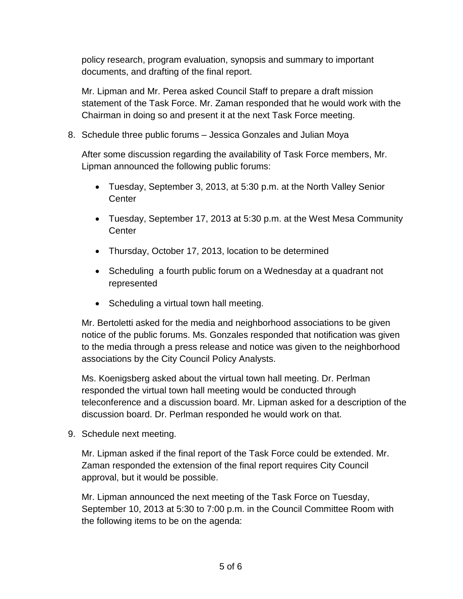policy research, program evaluation, synopsis and summary to important documents, and drafting of the final report.

Mr. Lipman and Mr. Perea asked Council Staff to prepare a draft mission statement of the Task Force. Mr. Zaman responded that he would work with the Chairman in doing so and present it at the next Task Force meeting.

8. Schedule three public forums – Jessica Gonzales and Julian Moya

After some discussion regarding the availability of Task Force members, Mr. Lipman announced the following public forums:

- Tuesday, September 3, 2013, at 5:30 p.m. at the North Valley Senior **Center**
- Tuesday, September 17, 2013 at 5:30 p.m. at the West Mesa Community **Center**
- Thursday, October 17, 2013, location to be determined
- Scheduling a fourth public forum on a Wednesday at a quadrant not represented
- Scheduling a virtual town hall meeting.

Mr. Bertoletti asked for the media and neighborhood associations to be given notice of the public forums. Ms. Gonzales responded that notification was given to the media through a press release and notice was given to the neighborhood associations by the City Council Policy Analysts.

Ms. Koenigsberg asked about the virtual town hall meeting. Dr. Perlman responded the virtual town hall meeting would be conducted through teleconference and a discussion board. Mr. Lipman asked for a description of the discussion board. Dr. Perlman responded he would work on that.

9. Schedule next meeting.

Mr. Lipman asked if the final report of the Task Force could be extended. Mr. Zaman responded the extension of the final report requires City Council approval, but it would be possible.

Mr. Lipman announced the next meeting of the Task Force on Tuesday, September 10, 2013 at 5:30 to 7:00 p.m. in the Council Committee Room with the following items to be on the agenda: